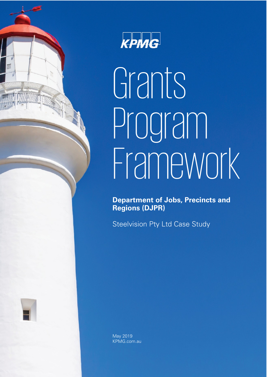



# Grants Program Framework

**Department of Jobs, Precincts and Regions (DJPR)**

Steelvision Pty Ltd Case Study



May 2019 KPMG.com.au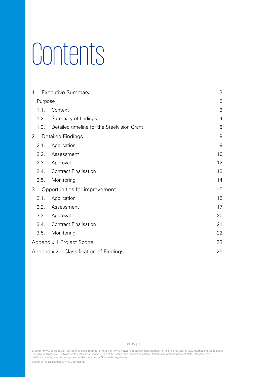# **Contents**

| $1_{\ldots}$ | <b>Executive Summary</b>                    | 3  |
|--------------|---------------------------------------------|----|
| Purpose      |                                             | 3  |
| 1.1.         | Context                                     | 3  |
| 1.2.         | Summary of findings                         | 4  |
| 1.3.         | Detailed timeline for the Steelvision Grant | 6  |
| 2.           | <b>Detailed Findings</b>                    | 9  |
| 2.1.         | Application                                 | 9  |
| 2.2.         | Assessment                                  | 10 |
| 2.3.         | Approval                                    | 12 |
| 2.4.         | <b>Contract Finalisation</b>                | 13 |
| 2.5.         | Monitoring                                  | 14 |
| 3.           | Opportunities for improvement               | 15 |
| 3.1.         | Application                                 | 15 |
| 3.2.         | Assessment                                  | 17 |
| 3.3.         | Approval                                    | 20 |
| 3.4.         | <b>Contract Finalisation</b>                | 21 |
| 3.5.         | Monitoring                                  | 22 |
|              | Appendix 1 Project Scope                    | 23 |
|              | Appendix 2 – Classification of Findings     | 25 |

© 2019 KPMG, an Australian partnership and a member firm of the KPMG network of independent member firms affiliated with KPMG International Cooperative ("KPMG International"), a Swiss entity. All rights reserved. The KPMG name and logo are registered trademarks or trademarks of KPMG International.<br>Liability limited by a scheme approved under Professional Standards Legisla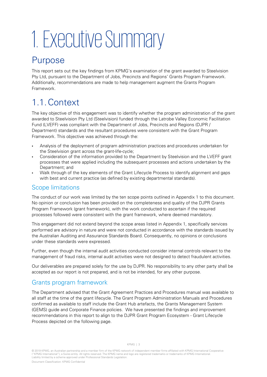# 1. Executive Summary

### Purpose

This report sets out the key findings from KPMG's examination of the grant awarded to Steelvision Pty Ltd, pursuant to the Department of Jobs, Precincts and Regions' Grants Program Framework. Additionally, recommendations are made to help management augment the Grants Program Framework.

# 1.1.Context

The key objective of this engagement was to identify whether the program administration of the grant awarded to Steelvision Pty Ltd (Steelvision) funded through the Latrobe Valley Economic Facilitation Fund (LVEFF) was compliant with the Department of Jobs, Precincts and Regions (DJPR / Department) standards and the resultant procedures were consistent with the Grant Program Framework. This objective was achieved through the:

- Analysis of the deployment of program administration practices and procedures undertaken for the Steelvision grant across the grant-life-cycle;
- Consideration of the information provided to the Department by Steelvision and the LVEFF grant processes that were applied including the subsequent processes and actions undertaken by the Department; and
- Walk through of the key elements of the Grant Lifecycle Process to identify alignment and gaps with best and current practice (as defined by existing departmental standards).

#### Scope limitations

The conduct of our work was limited by the ten scope points outlined in Appendix 1 to this document. No opinion or conclusion has been provided on the completeness and quality of the DJPR Grants Program Framework (grant framework), with the work conducted to ascertain if the required processes followed were consistent with the grant framework, where deemed mandatory.

This engagement did not extend beyond the scope areas listed in Appendix 1, specifically services performed are advisory in nature and were not conducted in accordance with the standards issued by the Australian Auditing and Assurance Standards Board. Consequently, no opinions or conclusions under these standards were expressed.

Further, even though the internal audit activities conducted consider internal controls relevant to the management of fraud risks, internal audit activities were not designed to detect fraudulent activities.

Our deliverables are prepared solely for the use by DJPR. No responsibility to any other party shall be accepted as our report is not prepared, and is not be intended, for any other purpose.

#### Grants program framework

The Department advised that the Grant Agreement Practices and Procedures manual was available to all staff at the time of the grant lifecycle. The Grant Program Administration Manuals and Procedures confirmed as available to staff include the Grant Hub artefacts, the Grants Management System (GEMS) guide and Corporate Finance policies. We have presented the findings and improvement recommendations in this report to align to the DJPR Grant Program Ecosystem - Grant Lifecycle Process depicted on the following page.

<sup>© 2019</sup> KPMG, an Australian partnership and a member firm of the KPMG network of independent member firms affiliated with KPMG International Cooperative ("KPMG International"), a Swiss entity. All rights reserved. The KPMG name and logo are registered trademarks or trademarks of KPMG International.<br>Liability limited by a scheme approved under Professional Standards Legisla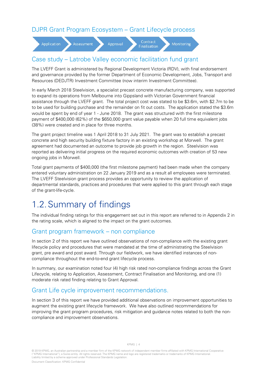#### DJPR Grant Program Ecosystem – Grant Lifecycle process



#### Case study – Latrobe Valley economic facilitation fund grant

The LVEFF Grant is administered by Regional Development Victoria (RDV), with final endorsement and governance provided by the former Department of Economic Development, Jobs, Transport and Resources (DEDJTR) Investment Committee (now interim Investment Committee).

In early March 2018 Steelvision, a specialist precast concrete manufacturing company, was supported to expand its operations from Melbourne into Gippsland with Victorian Government financial assistance through the LVEFF grant. The total project cost was stated to be \$3.6m, with \$2.7m to be to be used for building purchase and the remainder on fit out costs. The application stated the \$3.6m would be spent by end of year 1 - June 2018. The grant was structured with the first milestone payment of \$400,000 (62%) of the \$650,000 grant value payable when 20 full time equivalent jobs (38%) were created and in place for three months.

The grant project timeline was 1 April 2018 to 31 July 2021. The grant was to establish a precast concrete and high security building fixture factory in an existing workshop at Morwell. The grant agreement had documented an outcome to provide job growth in the region. Steelvision was reported as delivering initial progress on the required economic outcomes with creation of 53 new ongoing jobs in Morwell.

Total grant payments of \$400,000 (the first milestone payment) had been made when the company entered voluntary administration on 22 January 2019 and as a result all employees were terminated. The LVEFF Steelvision grant process provides an opportunity to review the application of departmental standards, practices and procedures that were applied to this grant through each stage of the grant-life-cycle.

# 1.2.Summary of findings

The individual finding ratings for this engagement set out in this report are referred to in Appendix 2 in the rating scale, which is aligned to the impact on the grant outcomes.

#### Grant program framework – non compliance

In section 2 of this report we have outlined observations of non-compliance with the existing grant lifecycle policy and procedures that were mandated at the time of administrating the Steelvision grant, pre award and post award. Through our fieldwork, we have identified instances of noncompliance throughout the end-to-end grant lifecycle process.

In summary, our examination noted four (4) high risk rated non-compliance findings across the Grant Lifecycle, relating to Application, Assessment, Contract Finalisation and Monitoring, and one (1) moderate risk rated finding relating to Grant Approval.

#### Grant Life cycle improvement recommendations.

In section 3 of this report we have provided additional observations on improvement opportunities to augment the existing grant lifecycle framework. We have also outlined recommendations for improving the grant program procedures, risk mitigation and guidance notes related to both the noncompliance and improvement observations.

© 2019 KPMG, an Australian partnership and a member firm of the KPMG network of independent member firms affiliated with KPMG International Cooperative<br>("KPMG International"), a Swiss entity. All rights reserved. The KPMG , a Swiss entity. All rights reserved. The KPMG name and logo are registered trademarks or trademarks of KPMG International Liability limited by a scheme approved under Professional Standards Legislation.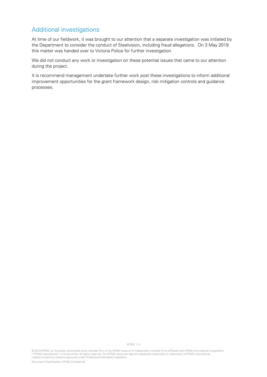#### Additional investigations

At time of our fieldwork, it was brought to our attention that a separate investigation was initiated by the Department to consider the conduct of Steelvision, including fraud allegations. On 3 May 2019 this matter was handed over to Victoria Police for further investigation.

We did not conduct any work or investigation on these potential issues that came to our attention during the project.

It is recommend management undertake further work post these investigations to inform additional improvement opportunities for the grant framework design, risk mitigation controls and guidance processes.

© 2019 KPMG, an Australian partnership and a member firm of the KPMG network of independent member firms affiliated with KPMG International Cooperative ("KPMG International"), a Swiss entity. All rights reserved. The KPMG name and logo are registered trademarks or trademarks of KPMG International.<br>Liability limited by a scheme approved under Professional Standards Legisla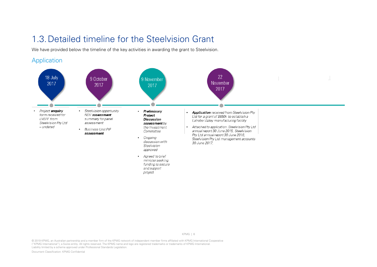### 1.3.Detailed timeline for the Steelvision Grant

We have provided below the timeline of the key activities in awarding the grant to Steelvision.

#### Application



© 2019 KPMG, an Australian partnership and a member firm of the KPMG network of independent member firms affiliated with KPMG International Cooperative ("KPMG International"), a Swiss entity. All rights reserved. The KPMG name and logo are registered trademarks or trademarks of KPMG International. Liability limited by a scheme approved under Professional Standards Legislation.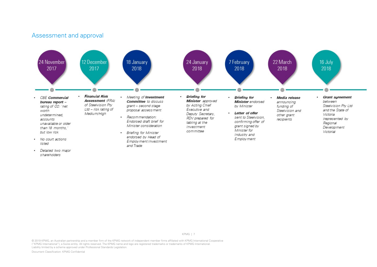#### Assessment and approval



· Detailed two major shareholders

KPMG | 7

© 2019 KPMG, an Australian partnership and a member firm of the KPMG network of independent member firms affiliated with KPMG International Cooperative ("KPMG International"), a Swiss entity. All rights reserved. The KPMG name and logo are registered trademarks or trademarks of KPMG International. Liability limited by a scheme approved under Professional Standards Legislation.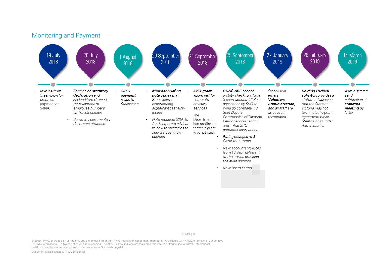

© 2019 KPMG, an Australian partnership and a member firm of the KPMG network of independent member firms affiliated with KPMG International Cooperative ("KPMG International"), a Swiss entity. All rights reserved. The KPMG name and logo are registered trademarks or trademarks of KPMG International. Liability limited by a scheme approved under Professional Standards Legislation.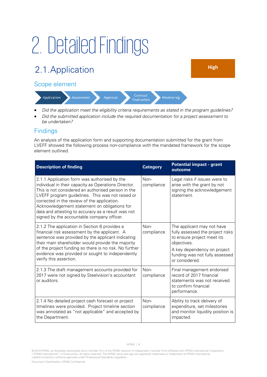# 2. Detailed Findings

# 2.1.Application **High**

#### Scope element



- Did the application meet the eligibility criteria requirements as stated in the program guidelines?
- Did the submitted application include the required documentation for a project assessment to be undertaken?

#### **Findings**

An analysis of the application form and supporting documentation submitted for the grant from LVEFF showed the following process non-compliance with the mandated framework for the scope element outlined.

| <b>Description of finding</b>                                                                                                                                                                                                                                                                                                                                                                                     | <b>Category</b>      | <b>Potential impact - grant</b><br>outcome                                                                                                                                                     |
|-------------------------------------------------------------------------------------------------------------------------------------------------------------------------------------------------------------------------------------------------------------------------------------------------------------------------------------------------------------------------------------------------------------------|----------------------|------------------------------------------------------------------------------------------------------------------------------------------------------------------------------------------------|
| 2.1.1 Application form was authorised by the<br>individual in their capacity as Operations Director.<br>This is not considered an authorised person in the<br>LVEFF program guidelines. This was not raised or<br>corrected in the review of the application.<br>Acknowledgement statement on obligations for<br>data and attesting to accuracy as a result was not<br>signed by the accountable company officer. | Non-<br>compliance   | Legal risks if issues were to<br>arise with the grant by not<br>signing the acknowledgement<br>statement.                                                                                      |
| 2.1.2 The application in Section 6 provides a<br>financial risk assessment by the applicant. A<br>sentence was provided by the applicant indicating<br>their main shareholder would provide the majority<br>of the project funding so there is no risk. No further<br>evidence was provided or sought to independently<br>verify this assertion.                                                                  | $Non-$<br>compliance | The applicant may not have<br>fully assessed the project risks<br>to ensure project meet its<br>objectives.<br>A key dependency on project<br>funding was not fully assessed<br>or considered. |
| 2.1.3 The draft management accounts provided for<br>2017 were not signed by Steelvision's accountant<br>or auditors.                                                                                                                                                                                                                                                                                              | $Non-$<br>compliance | Final management endorsed<br>record of 2017 financial<br>statements was not received<br>to confirm financial<br>performance.                                                                   |
| 2.1.4 No detailed project cash forecast or project<br>timelines were provided. Project timeline section<br>was annotated as "not applicable" and accepted by<br>the Department.                                                                                                                                                                                                                                   | Non-<br>compliance   | Ability to track delivery of<br>expenditure, set milestones<br>and monitor liquidity position is<br>impacted.                                                                                  |

<sup>© 2019</sup> KPMG, an Australian partnership and a member firm of the KPMG network of independent member firms affiliated with KPMG International Cooperative ("KPMG International"), a Swiss entity. All rights reserved. The KPMG name and logo are registered trademarks or trademarks of KPMG International.<br>Liability limited by a scheme approved under Professional Standards Legisla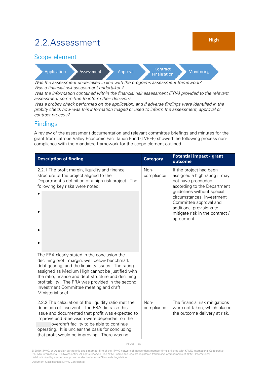### 2.2.Assessment **High**

#### Scope element



Was the assessment undertaken in line with the programs assessment framework? Was a financial risk assessment undertaken?

Was the information contained within the financial risk assessment (FRA) provided to the relevant assessment committee to inform their decision?

Was a probity check performed on the application, and if adverse findings were identified in the probity check how was this information triaged or used to inform the assessment, approval or contract process?

#### **Findings**

A review of the assessment documentation and relevant committee briefings and minutes for the grant from Latrobe Valley Economic Facilitation Fund (LVEFF) showed the following process noncompliance with the mandated framework for the scope element outlined.

| <b>Description of finding</b>                                                                                                                                                                                                                                                                                                                                                       | <b>Category</b>    | <b>Potential impact - grant</b><br>outcome                                                                                                                                                                                                                                      |
|-------------------------------------------------------------------------------------------------------------------------------------------------------------------------------------------------------------------------------------------------------------------------------------------------------------------------------------------------------------------------------------|--------------------|---------------------------------------------------------------------------------------------------------------------------------------------------------------------------------------------------------------------------------------------------------------------------------|
| 2.2.1 The profit margin, liquidity and finance<br>structure of the project aligned to the<br>Department's definition of a high risk project. The<br>following key risks were noted:                                                                                                                                                                                                 | Non-<br>compliance | If the project had been<br>assigned a high rating it may<br>not have proceeded<br>according to the Department<br>guidelines without special<br>circumstances, Investment<br>Committee approval and<br>additional provisions to<br>mitigate risk in the contract /<br>agreement. |
| The FRA clearly stated in the conclusion the<br>declining profit margin, well below benchmark<br>debt gearing, and the liquidity issues. The rating<br>assigned as Medium High cannot be justified with<br>the ratio, finance and debt structure and declining<br>profitability. The FRA was provided in the second<br>Investment Committee meeting and draft<br>Ministerial brief. |                    |                                                                                                                                                                                                                                                                                 |
| 2.2.2 The calculation of the liquidity ratio met the<br>definition of insolvent. The FRA did raise this<br>issue and documented that profit was expected to<br>improve and Steelvision were dependant on the<br>overdraft facility to be able to continue<br>operating. It is unclear the basis for concluding<br>that profit would be improving. There was no                      | Non-<br>compliance | The financial risk mitigations<br>were not taken, which placed<br>the outcome delivery at risk.                                                                                                                                                                                 |

<sup>© 2019</sup> KPMG, an Australian partnership and a member firm of the KPMG network of independent member firms affiliated with KPMG International Cooperative ("KPMG International"), a Swiss entity. All rights reserved. The KPMG name and logo are registered trademarks or trademarks of KPMG International.<br>Liability limited by a scheme approved under Professional Standards Legisla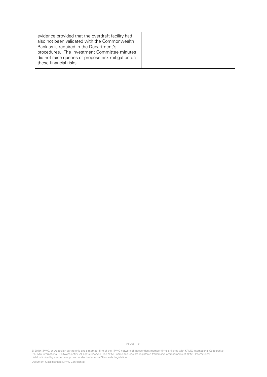| evidence provided that the overdraft facility had<br>also not been validated with the Commonwealth |  |
|----------------------------------------------------------------------------------------------------|--|
| Bank as is required in the Department's                                                            |  |
| procedures. The Investment Committee minutes                                                       |  |
| did not raise queries or propose risk mitigation on                                                |  |
| these financial risks.                                                                             |  |

© 2019 KPMG, an Australian partnership and a member firm of the KPMG network of independent member firms affiliated with KPMG International Cooperative<br>("KPMG International"), a Swiss entity. All rights reserved. The KPMG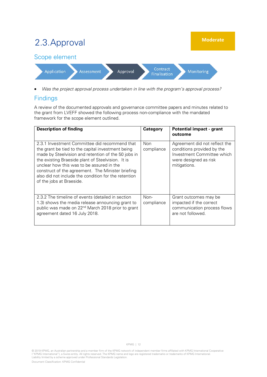

• Was the project approval process undertaken in line with the program's approval process?

#### **Findings**

A review of the documented approvals and governance committee papers and minutes related to the grant from LVEFF showed the following process non-compliance with the mandated framework for the scope element outlined.

| <b>Description of finding</b>                                                                                                                                                                                                                                                                                                                                                                        | Category                 | <b>Potential impact - grant</b><br>outcome                                                                                         |
|------------------------------------------------------------------------------------------------------------------------------------------------------------------------------------------------------------------------------------------------------------------------------------------------------------------------------------------------------------------------------------------------------|--------------------------|------------------------------------------------------------------------------------------------------------------------------------|
| 2.3.1 Investment Committee did recommend that<br>the grant be tied to the capital investment being<br>made by Steelvision and retention of the 50 jobs in<br>the existing Braeside plant of Steelvision. It is<br>unclear how this was to be assured in the<br>construct of the agreement. The Minister briefing<br>also did not include the condition for the retention<br>of the jobs at Braeside. | <b>Non</b><br>compliance | Agreement did not reflect the<br>conditions provided by the<br>Investment Committee which<br>were designed as risk<br>mitigations. |
| 2.3.2 The timeline of events (detailed in section<br>1.3) shows the media release announcing grant to<br>public was made on 22 <sup>nd</sup> March 2018 prior to grant<br>agreement dated 16 July 2018.                                                                                                                                                                                              | Non-<br>compliance       | Grant outcomes may be<br>impacted if the correct<br>communication process flows<br>are not followed.                               |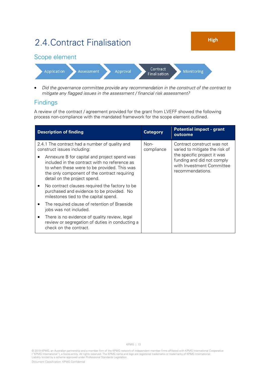

• Did the governance committee provide any recommendation in the construct of the contract to mitigate any flagged issues in the assessment / financial risk assessment?

#### **Findings**

A review of the contract / agreement provided for the grant from LVEFF showed the following process non-compliance with the mandated framework for the scope element outlined.

| <b>Description of finding</b>                                                                                                                                                                                                | <b>Category</b>    | <b>Potential impact - grant</b><br>outcome                                                                 |
|------------------------------------------------------------------------------------------------------------------------------------------------------------------------------------------------------------------------------|--------------------|------------------------------------------------------------------------------------------------------------|
| 2.4.1 The contract had a number of quality and<br>construct issues including:                                                                                                                                                | Non-<br>compliance | Contract construct was not<br>varied to mitigate the risk of                                               |
| Annexure B for capital and project spend was<br>included in the contract with no reference as<br>to when these were to be provided. This was<br>the only component of the contract requiring<br>detail on the project spend. |                    | the specific project it was<br>funding and did not comply<br>with Investment Committee<br>recommendations. |
| No contract clauses required the factory to be<br>purchased and evidence to be provided. No<br>milestones tied to the capital spend.                                                                                         |                    |                                                                                                            |
| The required clause of retention of Braeside<br>jobs was not included.                                                                                                                                                       |                    |                                                                                                            |
| There is no evidence of quality review, legal<br>review or segregation of duties in conducting a<br>check on the contract.                                                                                                   |                    |                                                                                                            |

© 2019 KPMG, an Australian partnership and a member firm of the KPMG network of independent member firms affiliated with KPMG International Cooperative ("KPMG International"), a Swiss entity. All rights reserved. The KPMG name and logo are registered trademarks or trademarks of KPMG International.<br>Liability limited by a scheme approved under Professional Standards Legisla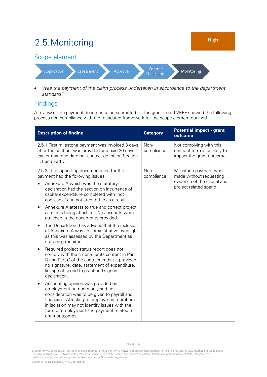

Was the payment of the claim process undertaken in accordance to the department standard?

#### Findings

A review of the payment documentation submitted for the grant from LVEFF showed the following process non-compliance with the mandated framework for the scope element outlined.

| <b>Description of finding</b>                                                                                                                                                    |                                                                                                                                                                                                                                                                                     | <b>Category</b>    | <b>Potential impact - grant</b><br>outcome                                                                |
|----------------------------------------------------------------------------------------------------------------------------------------------------------------------------------|-------------------------------------------------------------------------------------------------------------------------------------------------------------------------------------------------------------------------------------------------------------------------------------|--------------------|-----------------------------------------------------------------------------------------------------------|
| 2.5.1 First milestone payment was invoiced 3 days<br>after the contract was provided and paid 30 days<br>earlier than due date per contact definition Section<br>1.1 and Part C. |                                                                                                                                                                                                                                                                                     | Non-<br>compliance | Not complying with this<br>contract term is unlikely to<br>impact the grant outcome.                      |
|                                                                                                                                                                                  | 2.5.2 The supporting documentation for the<br>payment had the following issues:                                                                                                                                                                                                     | Non-<br>compliance | Milestone payment was<br>made without requesting<br>evidence of the capital and<br>project related spend. |
|                                                                                                                                                                                  | Annexure A which was the statutory<br>declaration had the section on incurrence of<br>capital expenditure completed with 'not<br>applicable' and not attested to as a result.                                                                                                       |                    |                                                                                                           |
| ٠                                                                                                                                                                                | Annexure A attests to true and correct project<br>accounts being attached. No accounts were<br>attached in the documents provided.                                                                                                                                                  |                    |                                                                                                           |
| ٠                                                                                                                                                                                | The Department has advised that the inclusion<br>of Annexure A was an administrative oversight<br>as this was assessed by the Department as<br>not being required.                                                                                                                  |                    |                                                                                                           |
|                                                                                                                                                                                  | Required project status report does not<br>comply with the criteria for its content in Part<br>B and Part C of the contract in that it provided<br>no signature, date, statement of expenditure,<br>linkage of spend to grant and signed<br>declaration.                            |                    |                                                                                                           |
|                                                                                                                                                                                  | Accounting opinion was provided on<br>employment numbers only and no<br>consideration was to be given to payroll and<br>financials. Attesting to employment numbers<br>in isolation may not identify issues with the<br>form of employment and payment related to<br>grant outcomes |                    |                                                                                                           |

<sup>© 2019</sup> KPMG, an Australian partnership and a member firm of the KPMG network of independent member firms affiliated with KPMG International Cooperative ("KPMG International"), a Swiss entity. All rights reserved. The KPMG name and logo are registered trademarks or trademarks of KPMG International.<br>Liability limited by a scheme approved under Professional Standards Legisla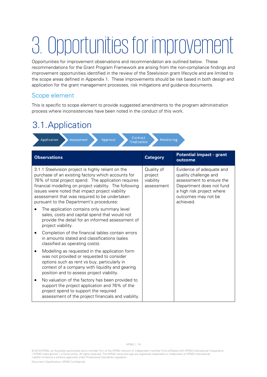# 3. Opportunities for improvement

Opportunities for improvement observations and recommendation are outlined below. These recommendations for the Grant Program Framework are arising from the non-compliance findings and improvement opportunities identified in the review of the Steelvision grant lifecycle and are limited to the scope areas defined in Appendix 1. These improvements should be risk based in both design and application for the grant management processes, risk mitigations and guidance documents.

#### Scope element

This is specific to scope element to provide suggested amendments to the program administration process where inconsistencies have been noted in the conduct of this work.

### 3.1.Application

| Contract<br>Application<br>Approval<br>Monitoring<br><b>Assessment</b><br><b>Finalisation</b>                                                                                                                                                                                                                                                                               |                                                  |                                                                                                                                                                            |  |
|-----------------------------------------------------------------------------------------------------------------------------------------------------------------------------------------------------------------------------------------------------------------------------------------------------------------------------------------------------------------------------|--------------------------------------------------|----------------------------------------------------------------------------------------------------------------------------------------------------------------------------|--|
| <b>Observations</b>                                                                                                                                                                                                                                                                                                                                                         | <b>Category</b>                                  | <b>Potential impact - grant</b><br>outcome                                                                                                                                 |  |
| 3.1.1 Steelvision project is highly reliant on the<br>purchase of an existing factory which accounts for<br>76% of total project spend. The application requires<br>financial modelling on project viability. The following<br>issues were noted that impact project viability<br>assessment that was required to be undertaken<br>pursuant to the Department's procedures: | Quality of<br>project<br>viability<br>assessment | Evidence of adequate and<br>quality challenge and<br>assessment to ensure the<br>Department does not fund<br>a high risk project where<br>outcomes may not be<br>achieved. |  |
| The application contains only summary level<br>sales, costs and capital spend that would not<br>provide the detail for an informed assessment of<br>project viability.                                                                                                                                                                                                      |                                                  |                                                                                                                                                                            |  |
| Completion of the financial tables contain errors<br>in amounts stated and classifications (sales<br>classified as operating costs).                                                                                                                                                                                                                                        |                                                  |                                                                                                                                                                            |  |
| Modelling as requested in the application form<br>was not provided or requested to consider<br>options such as rent vs buy, particularly in<br>context of a company with liquidity and gearing<br>position and to assess project viability.                                                                                                                                 |                                                  |                                                                                                                                                                            |  |
| No valuation of the factory has been provided to<br>support the project application and 76% of the<br>project spend to support the required<br>assessment of the project financials and viability.                                                                                                                                                                          |                                                  |                                                                                                                                                                            |  |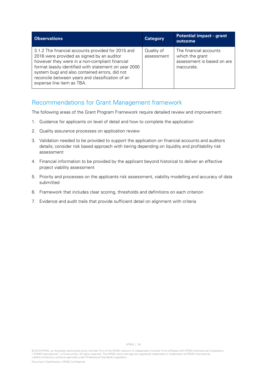| <b>Observations</b>                                                                                                                                                                                                                                                                                                                            | <b>Category</b>          | <b>Potential impact - grant</b><br>outcome                                             |
|------------------------------------------------------------------------------------------------------------------------------------------------------------------------------------------------------------------------------------------------------------------------------------------------------------------------------------------------|--------------------------|----------------------------------------------------------------------------------------|
| 3.1.2 The financial accounts provided for 2015 and<br>2016 were provided as signed by an auditor<br>however they were in a non-compliant financial<br>format (easily identified with statement on year 2000<br>system bug) and also contained errors, did not<br>reconcile between years and classification of an<br>expense line item as TBA. | Quality of<br>assessment | The financial accounts<br>which the grant<br>assessment is based on are<br>inaccurate. |

#### Recommendations for Grant Management framework

The following areas of the Grant Program Framework require detailed review and improvement:

- 1. Guidance for applicants on level of detail and how to complete the application
- 2. Quality assurance processes on application review
- 3. Validation needed to be provided to support the application on financial accounts and auditors details; consider risk based approach with tiering depending on liquidity and profitability risk assessment
- 4. Financial information to be provided by the applicant beyond historical to deliver an effective project viability assessment
- 5. Priority and processes on the applicants risk assessment, viability modelling and accuracy of data submitted
- 6. Framework that includes clear scoring, thresholds and definitions on each criterion
- 7. Evidence and audit trails that provide sufficient detail on alignment with criteria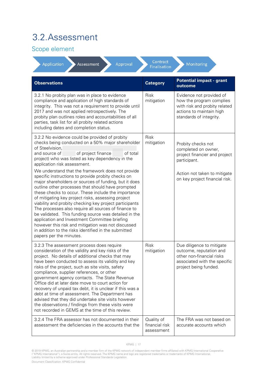### 3.2.Assessment

#### Scope element

| Application<br>Approval<br>Assessment                                                                                                                                                                                                                                                                                                                                                                                                                                                                                                                                                                                                                                                                                                                                                                                                                                                                                                                                     | Contract<br><b>Finalisation</b>            | Monitoring                                                                                                                                                   |
|---------------------------------------------------------------------------------------------------------------------------------------------------------------------------------------------------------------------------------------------------------------------------------------------------------------------------------------------------------------------------------------------------------------------------------------------------------------------------------------------------------------------------------------------------------------------------------------------------------------------------------------------------------------------------------------------------------------------------------------------------------------------------------------------------------------------------------------------------------------------------------------------------------------------------------------------------------------------------|--------------------------------------------|--------------------------------------------------------------------------------------------------------------------------------------------------------------|
| <b>Observations</b>                                                                                                                                                                                                                                                                                                                                                                                                                                                                                                                                                                                                                                                                                                                                                                                                                                                                                                                                                       | <b>Category</b>                            | <b>Potential impact - grant</b><br>outcome                                                                                                                   |
| 3.2.1 No probity plan was in place to evidence<br>compliance and application of high standards of<br>integrity. This was not a requirement to provide until<br>2017 and was not applied retrospectively. The<br>probity plan outlines roles and accountabilities of all<br>parties, task list for all probity related actions<br>including dates and completion status.                                                                                                                                                                                                                                                                                                                                                                                                                                                                                                                                                                                                   | Risk<br>mitigation                         | Evidence not provided of<br>how the program complies<br>with risk and probity related<br>actions to maintain high<br>standards of integrity.                 |
| 3.2.2 No evidence could be provided of probity<br>checks being conducted on a 50% major shareholder<br>of Steelvision,<br>of project finance<br>of total<br>and source of<br>project) who was listed as key dependency in the<br>application risk assessment.<br>We understand that the framework does not provide<br>specific instructions to provide probity checks on<br>major shareholders or sources of funding, but it does<br>outline other processes that should have prompted<br>these checks to occur. These include the importance<br>of mitigating key project risks, assessing project<br>viability and probity checking key project participants<br>The processes also require all sources of finance to<br>be validated. This funding source was detailed in the<br>application and Investment Committee briefing<br>however this risk and mitigation was not discussed<br>in addition to the risks identified in the submitted<br>papers per the minutes. | <b>Risk</b><br>mitigation                  | Probity checks not<br>completed on owner,<br>project financier and project<br>participant.<br>Action not taken to mitigate<br>on key project financial risk. |
| 3.2.3 The assessment process does require<br>consideration of the validity and key risks of the<br>project. No details of additional checks that may<br>have been conducted to assess its validity and key<br>risks of the project, such as site visits, safety<br>compliance, supplier references, or other<br>government agency contacts. The State Revenue<br>Office did at later date move to court action for<br>recovery of unpaid tax debt, it is unclear if this was a<br>debt at time of assessment. The Department has<br>advised that they did undertake site visits however<br>the observations / findings from these visits were<br>not recorded in GEMS at the time of this review.                                                                                                                                                                                                                                                                         | Risk<br>mitigation                         | Due diligence to mitigate<br>outcome, reputation and<br>other non-financial risks<br>associated with the specific<br>project being funded.                   |
| 3.2.4 The FRA assessor has not documented in their<br>assessment the deficiencies in the accounts that the                                                                                                                                                                                                                                                                                                                                                                                                                                                                                                                                                                                                                                                                                                                                                                                                                                                                | Quality of<br>financial risk<br>assessment | The FRA was not based on<br>accurate accounts which                                                                                                          |

<sup>© 2019</sup> KPMG, an Australian partnership and a member firm of the KPMG network of independent member firms affiliated with KPMG International Cooperative<br>("KPMG International"), a Swiss entity. All rights reserved. The KPMG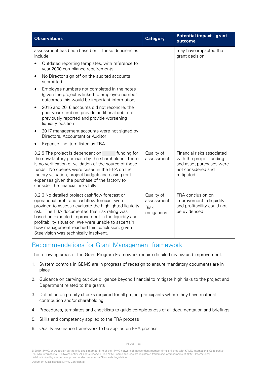| <b>Observations</b>                                                                                                                                                                                                                                                                                                                                                                                                  | <b>Category</b>                                 | <b>Potential impact - grant</b><br>outcome                                                                             |
|----------------------------------------------------------------------------------------------------------------------------------------------------------------------------------------------------------------------------------------------------------------------------------------------------------------------------------------------------------------------------------------------------------------------|-------------------------------------------------|------------------------------------------------------------------------------------------------------------------------|
| assessment has been based on. These deficiencies<br>include:                                                                                                                                                                                                                                                                                                                                                         |                                                 | may have impacted the<br>grant decision.                                                                               |
| Outdated reporting templates, with reference to<br>year 2000 compliance requirements                                                                                                                                                                                                                                                                                                                                 |                                                 |                                                                                                                        |
| No Director sign off on the audited accounts<br>٠<br>submitted                                                                                                                                                                                                                                                                                                                                                       |                                                 |                                                                                                                        |
| Employee numbers not completed in the notes<br>$\bullet$<br>(given the project is linked to employee number<br>outcomes this would be important information)                                                                                                                                                                                                                                                         |                                                 |                                                                                                                        |
| 2015 and 2016 accounts did not reconcile, the<br>$\bullet$<br>prior year numbers provide additional debt not<br>previously reported and provide worsening<br>liquidity position                                                                                                                                                                                                                                      |                                                 |                                                                                                                        |
| 2017 management accounts were not signed by<br>Directors, Accountant or Auditor                                                                                                                                                                                                                                                                                                                                      |                                                 |                                                                                                                        |
| Expense line item listed as TBA<br>٠                                                                                                                                                                                                                                                                                                                                                                                 |                                                 |                                                                                                                        |
| 3.2.5 The project is dependent on<br>funding for<br>the new factory purchase by the shareholder. There<br>is no verification or validation of the source of these<br>funds. No queries were raised in the FRA on the<br>factory valuation, project budgets increasing rent<br>expenses given the purchase of the factory to<br>consider the financial risks fully.                                                   | Quality of<br>assessment                        | Financial risks associated<br>with the project funding<br>and asset purchases were<br>not considered and<br>mitigated. |
| 3.2.6 No detailed project cashflow forecast or<br>operational profit and cashflow forecast were<br>provided to assess / evaluate the highlighted liquidity<br>risk. The FRA documented that risk rating was<br>based on expected improvement in the liquidity and<br>profitability situation. We were unable to ascertain<br>how management reached this conclusion, given<br>Steelvision was technically insolvent. | Quality of<br>assessment<br>Risk<br>mitigations | FRA conclusion on<br>improvement in liquidity<br>and profitability could not<br>be evidenced                           |

#### Recommendations for Grant Management framework

The following areas of the Grant Program Framework require detailed review and improvement:

- 1. System controls in GEMS are in progress of redesign to ensure mandatory documents are in place
- 2. Guidance on carrying out due diligence beyond financial to mitigate high risks to the project and Department related to the grants
- 3. Definition on probity checks required for all project participants where they have material contribution and/or shareholding
- 4. Procedures, templates and checklists to guide completeness of all documentation and briefings
- 5. Skills and competency applied to the FRA process
- 6. Quality assurance framework to be applied on FRA process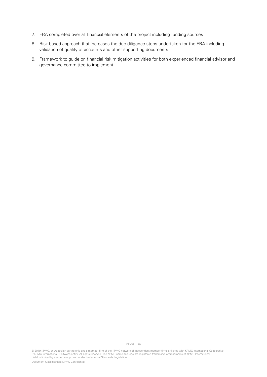- 7. FRA completed over all financial elements of the project including funding sources
- 8. Risk based approach that increases the due diligence steps undertaken for the FRA including validation of quality of accounts and other supporting documents
- 9. Framework to guide on financial risk mitigation activities for both experienced financial advisor and governance committee to implement

© 2019 KPMG, an Australian partnership and a member firm of the KPMG network of independent member firms affiliated with KPMG International Cooperative ("KPMG International"), a Swiss entity. All rights reserved. The KPMG name and logo are registered trademarks or trademarks of KPMG International.<br>Liability limited by a scheme approved under Professional Standards Legisla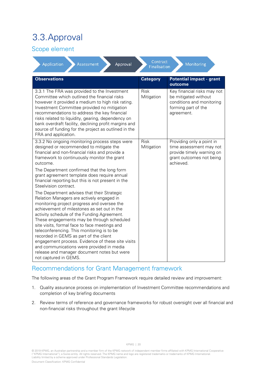# 3.3.Approval

#### Scope element

| Application<br>Approval<br>Assessment                                                                                                                                                                                                                                                                                                                                                                                                                                                                                                                                                                                           | Contract<br>Finalisation  | Monitoring                                                                                                                 |
|---------------------------------------------------------------------------------------------------------------------------------------------------------------------------------------------------------------------------------------------------------------------------------------------------------------------------------------------------------------------------------------------------------------------------------------------------------------------------------------------------------------------------------------------------------------------------------------------------------------------------------|---------------------------|----------------------------------------------------------------------------------------------------------------------------|
| <b>Observations</b>                                                                                                                                                                                                                                                                                                                                                                                                                                                                                                                                                                                                             | <b>Category</b>           | <b>Potential impact - grant</b><br>outcome                                                                                 |
| 3.3.1 The FRA was provided to the Investment<br>Committee which outlined the financial risks<br>however it provided a medium to high risk rating.<br>Investment Committee provided no mitigation<br>recommendations to address the key financial<br>risks related to liquidity, gearing, dependency on<br>bank overdraft facility, declining profit margins and<br>source of funding for the project as outlined in the<br>FRA and application.                                                                                                                                                                                 | Risk<br>Mitigation        | Key financial risks may not<br>be mitigated without<br>conditions and monitoring<br>forming part of the<br>agreement.      |
| 3.3.2 No ongoing monitoring process steps were<br>designed or recommended to mitigate the<br>financial and non-financial risks and provide a<br>framework to continuously monitor the grant<br>outcome.<br>The Department confirmed that the long form<br>grant agreement template does require annual<br>financial reporting but this is not present in the                                                                                                                                                                                                                                                                    | <b>Risk</b><br>Mitigation | Providing only a point in<br>time assessment may not<br>provide timely warning on<br>grant outcomes not being<br>achieved. |
| Steelvision contract.<br>The Department advises that their Strategic<br>Relation Managers are actively engaged in<br>monitoring project progress and oversee the<br>achievement of milestones as set out in the<br>activity schedule of the Funding Agreement.<br>These engagements may be through scheduled<br>site visits, formal face to face meetings and<br>teleconferencing. This monitoring is to be<br>recorded in GEMS as part of the client<br>engagement process. Evidence of these site visits<br>and communications were provided in media<br>release and manager document notes but were<br>not captured in GEMS. |                           |                                                                                                                            |

#### Recommendations for Grant Management framework

The following areas of the Grant Program Framework require detailed review and improvement:

- 1. Quality assurance process on implementation of Investment Committee recommendations and completion of key briefing documents
- 2. Review terms of reference and governance frameworks for robust oversight over all financial and non-financial risks throughout the grant lifecycle

<sup>© 2019</sup> KPMG, an Australian partnership and a member firm of the KPMG network of independent member firms affiliated with KPMG International Cooperative ("KPMG International"), a Swiss entity. All rights reserved. The KPMG name and logo are registered trademarks or trademarks of KPMG International.<br>Liability limited by a scheme approved under Professional Standards Legisla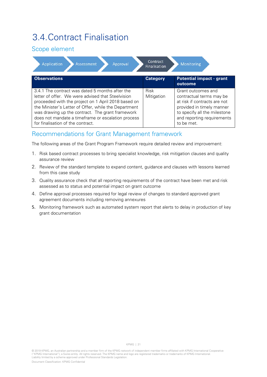### 3.4.Contract Finalisation

#### Scope element

| Contract<br>Application<br>Assessment<br>Monitoring<br>Approval<br>Finalisation                                                                                                                                                                                                                                                                                    |                           |                                                                                                                                                                                         |  |
|--------------------------------------------------------------------------------------------------------------------------------------------------------------------------------------------------------------------------------------------------------------------------------------------------------------------------------------------------------------------|---------------------------|-----------------------------------------------------------------------------------------------------------------------------------------------------------------------------------------|--|
| <b>Observations</b>                                                                                                                                                                                                                                                                                                                                                | <b>Category</b>           | <b>Potential impact - grant</b><br>outcome                                                                                                                                              |  |
| 3.4.1 The contract was dated 5 months after the<br>letter of offer. We were advised that Steelvision<br>proceeded with the project on 1 April 2018 based on<br>the Minister's Letter of Offer, while the Department<br>was drawing up the contract. The grant framework<br>does not mandate a timeframe or escalation process<br>for finalisation of the contract. | <b>Risk</b><br>Mitigation | Grant outcomes and<br>contractual terms may be<br>at risk if contracts are not<br>provided in timely manner<br>to specify all the milestone<br>and reporting requirements<br>to be met. |  |

#### Recommendations for Grant Management framework

The following areas of the Grant Program Framework require detailed review and improvement:

- 1. Risk based contract processes to bring specialist knowledge, risk mitigation clauses and quality assurance review
- 2. Review of the standard template to expand content, guidance and clauses with lessons learned from this case study
- 3. Quality assurance check that all reporting requirements of the contract have been met and risk assessed as to status and potential impact on grant outcome
- 4. Define approval processes required for legal review of changes to standard approved grant agreement documents including removing annexures
- 5. Monitoring framework such as automated system report that alerts to delay in production of key grant documentation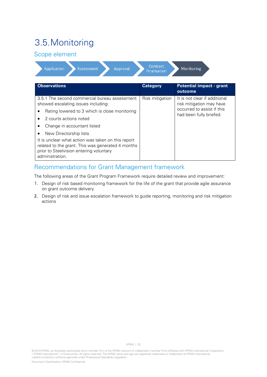# 3.5.Monitoring

#### Scope element

| Contract<br>Application<br><b>Assessment</b><br>Approval<br>Monitoring<br>Finalisation                                                                                |                 |                                                                                                                    |  |
|-----------------------------------------------------------------------------------------------------------------------------------------------------------------------|-----------------|--------------------------------------------------------------------------------------------------------------------|--|
| <b>Observations</b>                                                                                                                                                   | <b>Category</b> | <b>Potential impact - grant</b><br>outcome                                                                         |  |
| 3.5.1 The second commercial bureau assessment<br>showed escalating issues including:                                                                                  | Risk mitigation | It is not clear if additional<br>risk mitigation may have<br>occurred to assist if this<br>had been fully briefed. |  |
| Rating lowered to 3 which is close monitoring                                                                                                                         |                 |                                                                                                                    |  |
| 2 courts actions noted                                                                                                                                                |                 |                                                                                                                    |  |
| Change in accountant listed                                                                                                                                           |                 |                                                                                                                    |  |
| New Directorship lists<br>٠                                                                                                                                           |                 |                                                                                                                    |  |
| It is unclear what action was taken on this report<br>related to the grant. This was generated 4 months<br>prior to Steelvision entering voluntary<br>administration. |                 |                                                                                                                    |  |

#### Recommendations for Grant Management framework

The following areas of the Grant Program Framework require detailed review and improvement:

- 1. Design of risk based monitoring framework for the life of the grant that provide agile assurance on grant outcome delivery
- 2. Design of risk and issue escalation framework to guide reporting, monitoring and risk mitigation actions

© 2019 KPMG, an Australian partnership and a member firm of the KPMG network of independent member firms affiliated with KPMG International Cooperative ("KPMG International"), a Swiss entity. All rights reserved. The KPMG name and logo are registered trademarks or trademarks of KPMG International.<br>Liability limited by a scheme approved under Professional Standards Legisla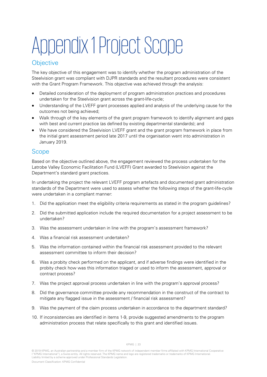# Appendix 1Project Scope

#### **Objective**

The key objective of this engagement was to identify whether the program administration of the Steelvision grant was compliant with DJPR standards and the resultant procedures were consistent with the Grant Program Framework. This objective was achieved through the analysis:

- Detailed consideration of the deployment of program administration practices and procedures undertaken for the Steelvision grant across the grant-life-cycle;
- Understanding of the LVEFF grant processes applied and analysis of the underlying cause for the outcomes not being achieved;
- Walk through of the key elements of the grant program framework to identify alignment and gaps with best and current practice (as defined by existing departmental standards); and
- We have considered the Steelvision LVEFF grant and the grant program framework in place from the initial grant assessment period late 2017 until the organisation went into administration in January 2019.

#### Scope

Based on the objective outlined above, the engagement reviewed the process undertaken for the Latrobe Valley Economic Facilitation Fund (LVEFF) Grant awarded to Steelvision against the Department's standard grant practices.

In undertaking the project the relevant LVEFF program artefacts and documented grant administration standards of the Department were used to assess whether the following steps of the grant-life-cycle were undertaken in a compliant manner:

- 1. Did the application meet the eligibility criteria requirements as stated in the program guidelines?
- 2. Did the submitted application include the required documentation for a project assessment to be undertaken?
- 3. Was the assessment undertaken in line with the program's assessment framework?
- 4. Was a financial risk assessment undertaken?
- 5. Was the information contained within the financial risk assessment provided to the relevant assessment committee to inform their decision?
- 6. Was a probity check performed on the applicant, and if adverse findings were identified in the probity check how was this information triaged or used to inform the assessment, approval or contract process?
- 7. Was the project approval process undertaken in line with the program's approval process?
- 8. Did the governance committee provide any recommendation in the construct of the contract to mitigate any flagged issue in the assessment / financial risk assessment?
- 9. Was the payment of the claim process undertaken in accordance to the department standard?
- 10. If inconsistencies are identified in items 1-9, provide suggested amendments to the program administration process that relate specifically to this grant and identified issues.

<sup>© 2019</sup> KPMG, an Australian partnership and a member firm of the KPMG network of independent member firms affiliated with KPMG International Cooperative ("KPMG International"), a Swiss entity. All rights reserved. The KPMG name and logo are registered trademarks or trademarks of KPMG International.<br>Liability limited by a scheme approved under Professional Standards Legisla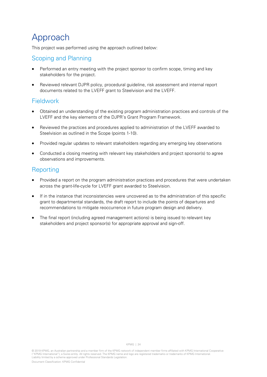# Approach

This project was performed using the approach outlined below:

#### Scoping and Planning

- Performed an entry meeting with the project sponsor to confirm scope, timing and key stakeholders for the project.
- Reviewed relevant DJPR policy, procedural guideline, risk assessment and internal report documents related to the LVEFF grant to Steelvision and the LVEFF.

#### Fieldwork

- Obtained an understanding of the existing program administration practices and controls of the LVEFF and the key elements of the DJPR's Grant Program Framework.
- Reviewed the practices and procedures applied to administration of the LVEFF awarded to Steelvision as outlined in the Scope (points 1-10).
- Provided regular updates to relevant stakeholders regarding any emerging key observations
- Conducted a closing meeting with relevant key stakeholders and project sponsor(s) to agree observations and improvements.

#### Reporting

- Provided a report on the program administration practices and procedures that were undertaken across the grant-life-cycle for LVEFF grant awarded to Steelvision.
- If in the instance that inconsistencies were uncovered as to the administration of this specific grant to departmental standards, the draft report to include the points of departures and recommendations to mitigate reoccurrence in future program design and delivery.
- The final report (including agreed management actions) is being issued to relevant key stakeholders and project sponsor(s) for appropriate approval and sign-off.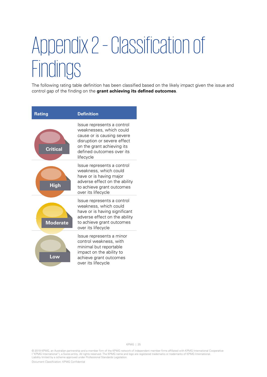# Appendix 2–Classification of **Findings**

The following rating table definition has been classified based on the likely impact given the issue and control gap of the finding on the **grant achieving its defined outcomes**.



© 2019 KPMG, an Australian partnership and a member firm of the KPMG network of independent member firms affiliated with KPMG International Cooperative ("KPMG International"), a Swiss entity. All rights reserved. The KPMG name and logo are registered trademarks or trademarks of KPMG International.<br>Liability limited by a scheme approved under Professional Standards Legisla